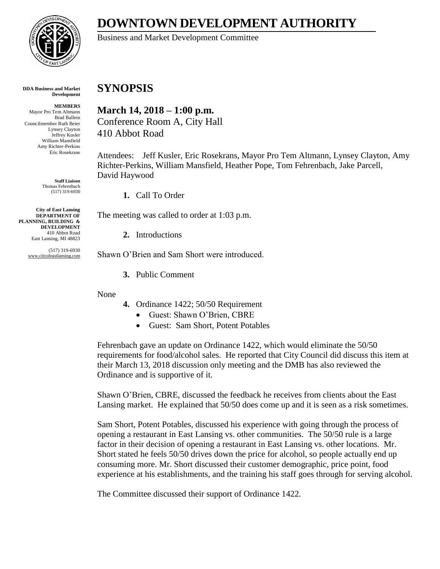

**DOWNTOWN DEVELOPMENT AUTHORITY**

Business and Market Development Committee

## **SYNOPSIS**

**March 14, 2018 – 1:00 p.m.** Conference Room A, City Hall 410 Abbot Road

Attendees: Jeff Kusler, Eric Rosekrans, Mayor Pro Tem Altmann, Lynsey Clayton, Amy Richter-Perkins, William Mansfield, Heather Pope, Tom Fehrenbach, Jake Parcell, David Haywood

**1.** Call To Order

The meeting was called to order at 1:03 p.m.

**2.** Introductions

Shawn O'Brien and Sam Short were introduced.

**3.** Public Comment

None

- **4.** Ordinance 1422; 50/50 Requirement
	- Guest: Shawn O'Brien, CBRE
	- Guest: Sam Short, Potent Potables

Fehrenbach gave an update on Ordinance 1422, which would eliminate the 50/50 requirements for food/alcohol sales. He reported that City Council did discuss this item at their March 13, 2018 discussion only meeting and the DMB has also reviewed the Ordinance and is supportive of it.

Shawn O'Brien, CBRE, discussed the feedback he receives from clients about the East Lansing market. He explained that 50/50 does come up and it is seen as a risk sometimes.

Sam Short, Potent Potables, discussed his experience with going through the process of opening a restaurant in East Lansing vs. other communities. The 50/50 rule is a large factor in their decision of opening a restaurant in East Lansing vs. other locations. Mr. Short stated he feels 50/50 drives down the price for alcohol, so people actually end up consuming more. Mr. Short discussed their customer demographic, price point, food experience at his establishments, and the training his staff goes through for serving alcohol.

The Committee discussed their support of Ordinance 1422.

**DDA Business and Market Development**

**MEMBERS** Mayor Pro Tem Altmann Brad Ballein Councilmember Ruth Beier Lynsey Clayton Jeffrey Kusler William Mansfield Amy Richter-Perkins Eric Rosekrans

> **Staff Liaison** Thomas Fehrenbach (517) 319-6930

**City of East Lansing DEPARTMENT OF PLANNING, BUILDING & DEVELOPMENT** 410 Abbot Road East Lansing, MI 48823

> (517) 319-6930 www.cityofeastlansing.com